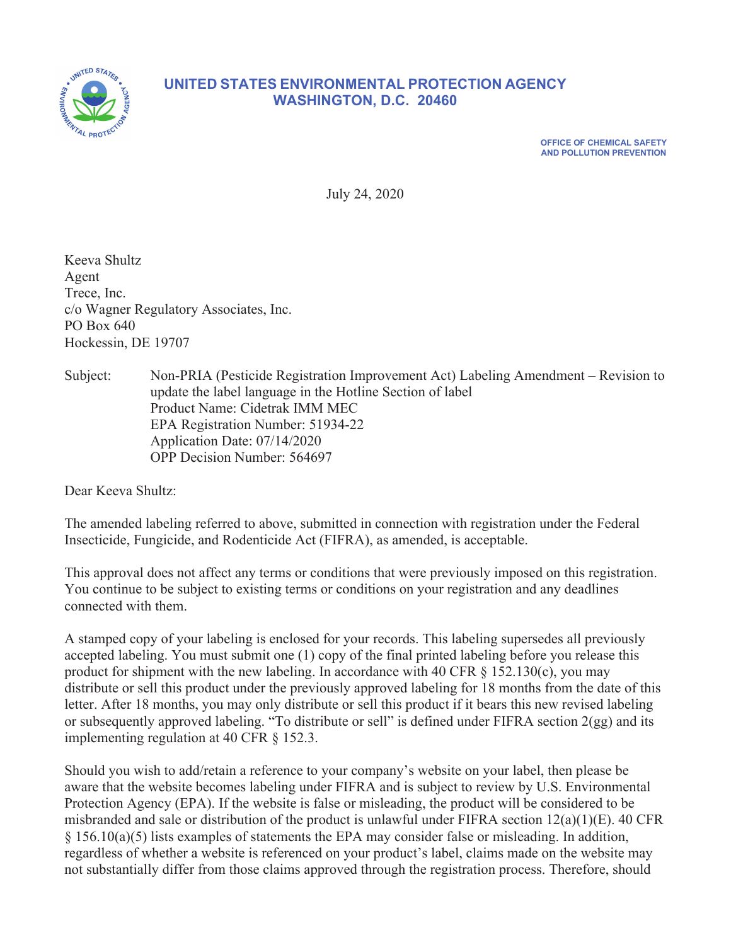

## **UNITED STATES ENVIRONMENTAL PROTECTION AGENCY WASHINGTON, D.C. 20460**

**OFFICE OF CHEMICAL SAFETY AND POLLUTION PREVENTION** 

July 24, 2020

Keeva Shultz Agent Trece, Inc. c/o Wagner Regulatory Associates, Inc. PO Box 640 Hockessin, DE 19707

Subject: Non-PRIA (Pesticide Registration Improvement Act) Labeling Amendment – Revision to update the label language in the Hotline Section of label Product Name: Cidetrak IMM MEC EPA Registration Number: 51934-22 Application Date: 07/14/2020 OPP Decision Number: 564697

Dear Keeva Shultz:

The amended labeling referred to above, submitted in connection with registration under the Federal Insecticide, Fungicide, and Rodenticide Act (FIFRA), as amended, is acceptable.

This approval does not affect any terms or conditions that were previously imposed on this registration. You continue to be subject to existing terms or conditions on your registration and any deadlines connected with them.

A stamped copy of your labeling is enclosed for your records. This labeling supersedes all previously accepted labeling. You must submit one (1) copy of the final printed labeling before you release this product for shipment with the new labeling. In accordance with 40 CFR  $\S$  152.130(c), you may distribute or sell this product under the previously approved labeling for 18 months from the date of this letter. After 18 months, you may only distribute or sell this product if it bears this new revised labeling or subsequently approved labeling. "To distribute or sell" is defined under FIFRA section 2(gg) and its implementing regulation at 40 CFR § 152.3.

Should you wish to add/retain a reference to your company's website on your label, then please be aware that the website becomes labeling under FIFRA and is subject to review by U.S. Environmental Protection Agency (EPA). If the website is false or misleading, the product will be considered to be misbranded and sale or distribution of the product is unlawful under FIFRA section 12(a)(1)(E). 40 CFR  $§$  156.10(a)(5) lists examples of statements the EPA may consider false or misleading. In addition, regardless of whether a website is referenced on your product's label, claims made on the website may not substantially differ from those claims approved through the registration process. Therefore, should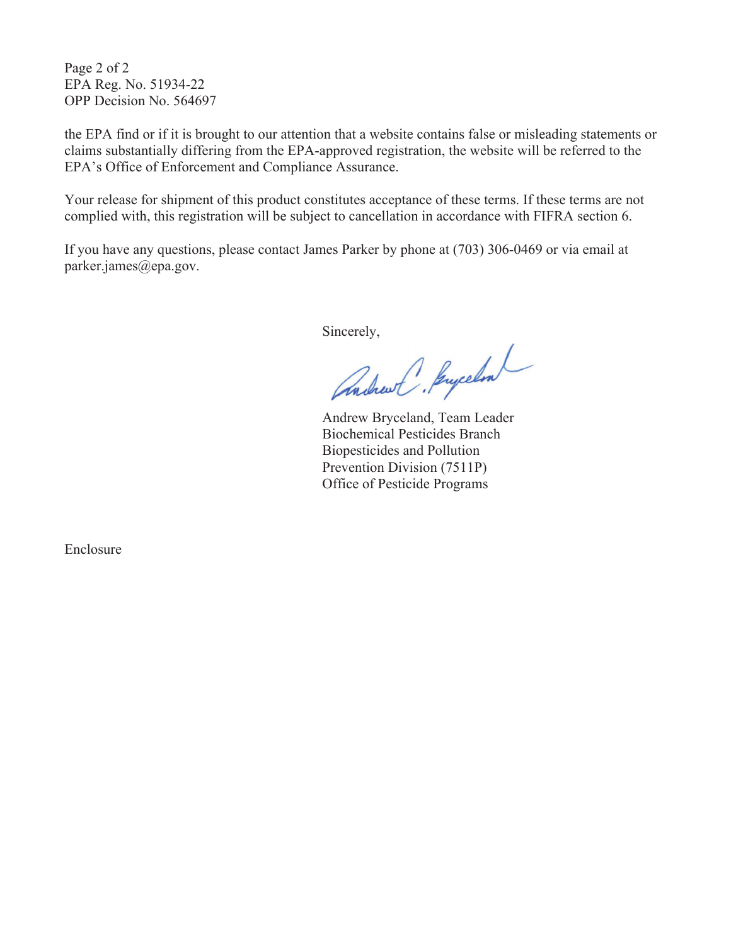Page 2 of 2 EPA Reg. No. 51934-22 OPP Decision No. 564697

the EPA find or if it is brought to our attention that a website contains false or misleading statements or claims substantially differing from the EPA-approved registration, the website will be referred to the EPA's Office of Enforcement and Compliance Assurance.

Your release for shipment of this product constitutes acceptance of these terms. If these terms are not complied with, this registration will be subject to cancellation in accordance with FIFRA section 6.

If you have any questions, please contact James Parker by phone at (703) 306-0469 or via email at parker.james@epa.gov.

Sincerely,

Andrew C. Jenycelon

 Biochemical Pesticides Branch Biopesticides and Pollution Prevention Division (7511P) Office of Pesticide Programs

Enclosure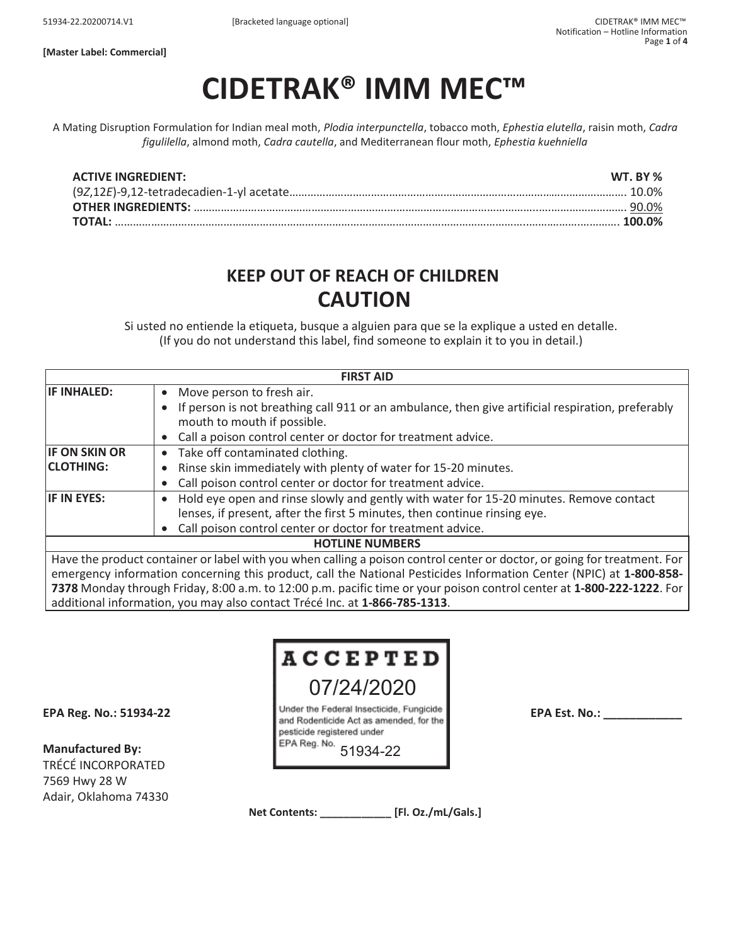**[Master Label: Commercial]** 

# **CIDETRAK® IMM MEC™**

A Mating Disruption Formulation for Indian meal moth, *Plodia interpunctella*, tobacco moth, *Ephestia elutella*, raisin moth, *Cadra figulilella*, almond moth, *Cadra cautella*, and Mediterranean flour moth, *Ephestia kuehniella*

| <b>ACTIVE INGREDIENT:</b> | WT. BY % |
|---------------------------|----------|
|                           |          |
|                           |          |
|                           |          |

# **KEEP OUT OF REACH OF CHILDREN CAUTION**

Si usted no entiende la etiqueta, busque a alguien para que se la explique a usted en detalle. (If you do not understand this label, find someone to explain it to you in detail.)

| <b>FIRST AID</b>                                                                                                         |                                                                                                   |  |
|--------------------------------------------------------------------------------------------------------------------------|---------------------------------------------------------------------------------------------------|--|
| <b>IF INHALED:</b>                                                                                                       | Move person to fresh air.<br>$\bullet$                                                            |  |
|                                                                                                                          | If person is not breathing call 911 or an ambulance, then give artificial respiration, preferably |  |
|                                                                                                                          | mouth to mouth if possible.                                                                       |  |
|                                                                                                                          | Call a poison control center or doctor for treatment advice.                                      |  |
| <b>IF ON SKIN OR</b>                                                                                                     | Take off contaminated clothing.<br>$\bullet$                                                      |  |
| <b>CLOTHING:</b>                                                                                                         | Rinse skin immediately with plenty of water for 15-20 minutes.                                    |  |
|                                                                                                                          | Call poison control center or doctor for treatment advice.                                        |  |
| <b>IF IN EYES:</b>                                                                                                       | Hold eye open and rinse slowly and gently with water for 15-20 minutes. Remove contact            |  |
|                                                                                                                          | lenses, if present, after the first 5 minutes, then continue rinsing eye.                         |  |
|                                                                                                                          | Call poison control center or doctor for treatment advice.                                        |  |
| <b>HOTLINE NUMBERS</b>                                                                                                   |                                                                                                   |  |
| Have the product container or label with you when calling a poison control center or doctor, or going for treatment. For |                                                                                                   |  |
| emergency information concerning this product, call the National Pesticides Information Center (NPIC) at 1-800-858-      |                                                                                                   |  |
| 7378 Monday through Friday, 8:00 a.m. to 12:00 p.m. pacific time or your poison control center at 1-800-222-1222. For    |                                                                                                   |  |

additional information, you may also contact Trécé Inc. at **1-866-785-1313**.

# **ACCEPTED** 07/24/2020

**Manufactured By:**  TRÉCÉ INCORPORATED 7569 Hwy 28 W Adair, Oklahoma 74330

EPA Reg. No.: 51934-22 **EPA Reg. No.: 51934-22** Under the Federal Insecticide, Fungicide<br>and Rodenticide Act as amended, for the pesticide registered under EPA Reg. No.

51934-22

**Net Contents: \_\_\_\_\_\_\_\_\_\_\_\_ [Fl. Oz./mL/Gals.]**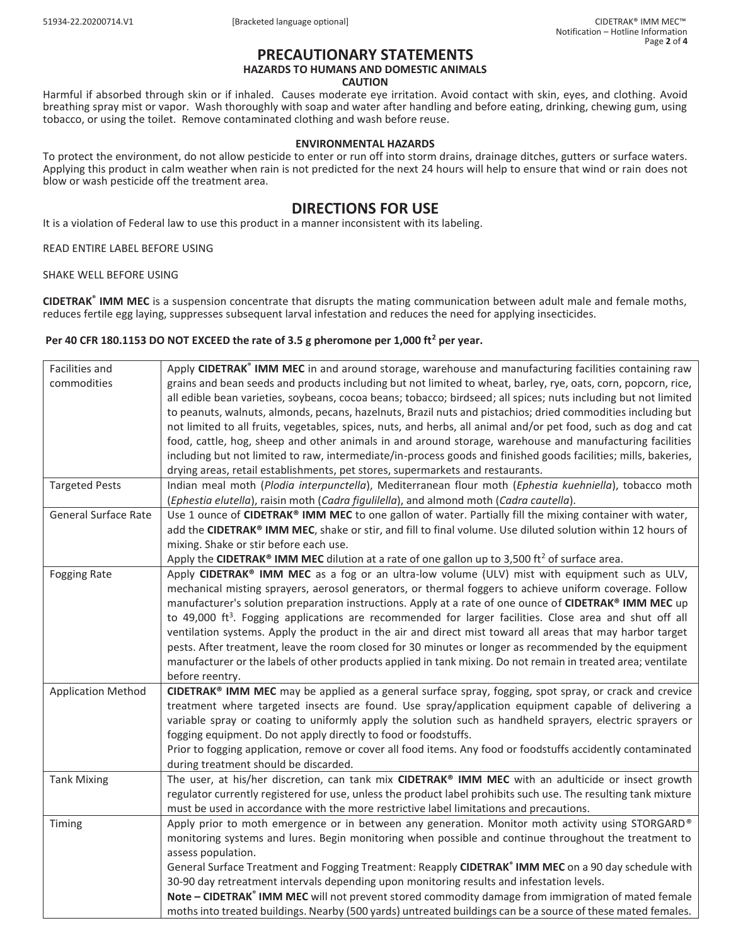#### **PRECAUTIONARY STATEMENTS HAZARDS TO HUMANS AND DOMESTIC ANIMALS**

#### **CAUTION**

Harmful if absorbed through skin or if inhaled. Causes moderate eye irritation. Avoid contact with skin, eyes, and clothing. Avoid breathing spray mist or vapor. Wash thoroughly with soap and water after handling and before eating, drinking, chewing gum, using tobacco, or using the toilet. Remove contaminated clothing and wash before reuse.

#### **ENVIRONMENTAL HAZARDS**

To protect the environment, do not allow pesticide to enter or run off into storm drains, drainage ditches, gutters or surface waters. Applying this product in calm weather when rain is not predicted for the next 24 hours will help to ensure that wind or rain does not blow or wash pesticide off the treatment area.

### **DIRECTIONS FOR USE**

It is a violation of Federal law to use this product in a manner inconsistent with its labeling.

READ ENTIRE LABEL BEFORE USING

SHAKE WELL BEFORE USING

**CIDETRAK® IMM MEC** is a suspension concentrate that disrupts the mating communication between adult male and female moths, reduces fertile egg laying, suppresses subsequent larval infestation and reduces the need for applying insecticides.

#### Per 40 CFR 180.1153 DO NOT EXCEED the rate of 3.5 g pheromone per 1,000 ft<sup>2</sup> per year.

| Facilities and              | Apply CIDETRAK <sup>®</sup> IMM MEC in and around storage, warehouse and manufacturing facilities containing raw    |
|-----------------------------|---------------------------------------------------------------------------------------------------------------------|
| commodities                 | grains and bean seeds and products including but not limited to wheat, barley, rye, oats, corn, popcorn, rice,      |
|                             | all edible bean varieties, soybeans, cocoa beans; tobacco; birdseed; all spices; nuts including but not limited     |
|                             | to peanuts, walnuts, almonds, pecans, hazelnuts, Brazil nuts and pistachios; dried commodities including but        |
|                             | not limited to all fruits, vegetables, spices, nuts, and herbs, all animal and/or pet food, such as dog and cat     |
|                             | food, cattle, hog, sheep and other animals in and around storage, warehouse and manufacturing facilities            |
|                             | including but not limited to raw, intermediate/in-process goods and finished goods facilities; mills, bakeries,     |
|                             | drying areas, retail establishments, pet stores, supermarkets and restaurants.                                      |
| <b>Targeted Pests</b>       | Indian meal moth (Plodia interpunctella), Mediterranean flour moth (Ephestia kuehniella), tobacco moth              |
|                             | (Ephestia elutella), raisin moth (Cadra figulilella), and almond moth (Cadra cautella).                             |
| <b>General Surface Rate</b> | Use 1 ounce of CIDETRAK® IMM MEC to one gallon of water. Partially fill the mixing container with water,            |
|                             | add the CIDETRAK® IMM MEC, shake or stir, and fill to final volume. Use diluted solution within 12 hours of         |
|                             | mixing. Shake or stir before each use.                                                                              |
|                             | Apply the CIDETRAK® IMM MEC dilution at a rate of one gallon up to 3,500 ft <sup>2</sup> of surface area.           |
| <b>Fogging Rate</b>         | Apply CIDETRAK® IMM MEC as a fog or an ultra-low volume (ULV) mist with equipment such as ULV,                      |
|                             | mechanical misting sprayers, aerosol generators, or thermal foggers to achieve uniform coverage. Follow             |
|                             | manufacturer's solution preparation instructions. Apply at a rate of one ounce of CIDETRAK® IMM MEC up              |
|                             | to 49,000 ft <sup>3</sup> . Fogging applications are recommended for larger facilities. Close area and shut off all |
|                             | ventilation systems. Apply the product in the air and direct mist toward all areas that may harbor target           |
|                             | pests. After treatment, leave the room closed for 30 minutes or longer as recommended by the equipment              |
|                             | manufacturer or the labels of other products applied in tank mixing. Do not remain in treated area; ventilate       |
|                             | before reentry.                                                                                                     |
| <b>Application Method</b>   | CIDETRAK® IMM MEC may be applied as a general surface spray, fogging, spot spray, or crack and crevice              |
|                             | treatment where targeted insects are found. Use spray/application equipment capable of delivering a                 |
|                             | variable spray or coating to uniformly apply the solution such as handheld sprayers, electric sprayers or           |
|                             | fogging equipment. Do not apply directly to food or foodstuffs.                                                     |
|                             | Prior to fogging application, remove or cover all food items. Any food or foodstuffs accidently contaminated        |
|                             | during treatment should be discarded.                                                                               |
| <b>Tank Mixing</b>          | The user, at his/her discretion, can tank mix CIDETRAK® IMM MEC with an adulticide or insect growth                 |
|                             | regulator currently registered for use, unless the product label prohibits such use. The resulting tank mixture     |
|                             | must be used in accordance with the more restrictive label limitations and precautions.                             |
| Timing                      | Apply prior to moth emergence or in between any generation. Monitor moth activity using STORGARD®                   |
|                             | monitoring systems and lures. Begin monitoring when possible and continue throughout the treatment to               |
|                             | assess population.                                                                                                  |
|                             | General Surface Treatment and Fogging Treatment: Reapply CIDETRAK® IMM MEC on a 90 day schedule with                |
|                             | 30-90 day retreatment intervals depending upon monitoring results and infestation levels.                           |
|                             | Note - CIDETRAK® IMM MEC will not prevent stored commodity damage from immigration of mated female                  |
|                             | moths into treated buildings. Nearby (500 yards) untreated buildings can be a source of these mated females.        |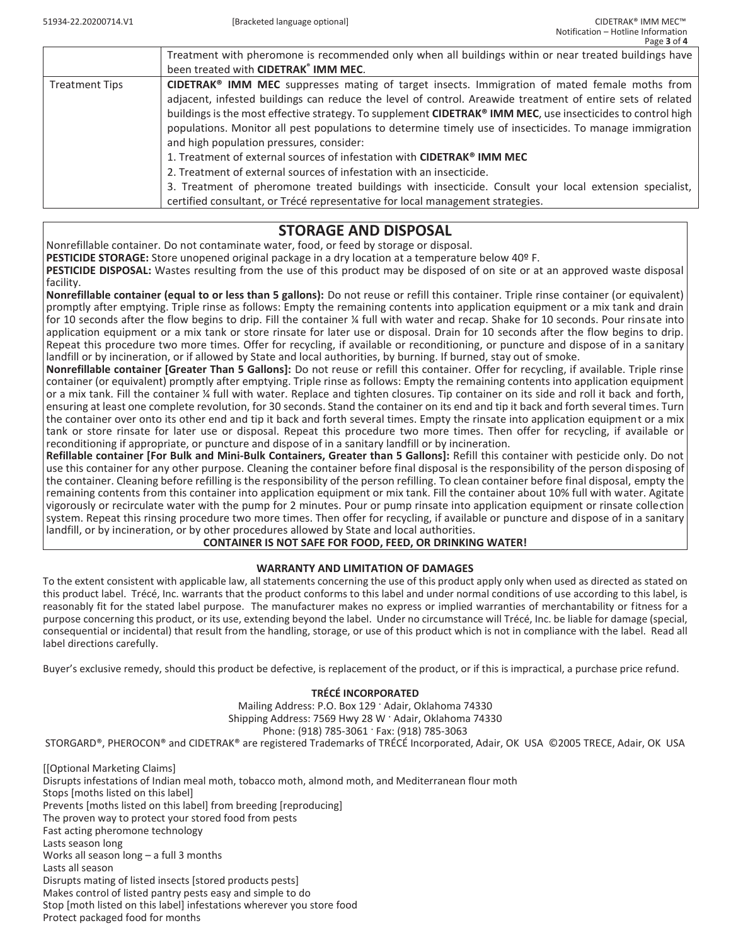|                       | Treatment with pheromone is recommended only when all buildings within or near treated buildings have       |
|-----------------------|-------------------------------------------------------------------------------------------------------------|
|                       | been treated with CIDETRAK® IMM MEC.                                                                        |
| <b>Treatment Tips</b> | CIDETRAK® IMM MEC suppresses mating of target insects. Immigration of mated female moths from               |
|                       | adjacent, infested buildings can reduce the level of control. Areawide treatment of entire sets of related  |
|                       | buildings is the most effective strategy. To supplement CIDETRAK® IMM MEC, use insecticides to control high |
|                       | populations. Monitor all pest populations to determine timely use of insecticides. To manage immigration    |
|                       | and high population pressures, consider:                                                                    |
|                       | 1. Treatment of external sources of infestation with CIDETRAK® IMM MEC                                      |
|                       | 2. Treatment of external sources of infestation with an insecticide.                                        |
|                       | 3. Treatment of pheromone treated buildings with insecticide. Consult your local extension specialist,      |
|                       | certified consultant, or Trécé representative for local management strategies.                              |
|                       |                                                                                                             |

## **STORAGE AND DISPOSAL**

Nonrefillable container. Do not contaminate water, food, or feed by storage or disposal.

**PESTICIDE STORAGE:** Store unopened original package in a dry location at a temperature below 40º F.

**PESTICIDE DISPOSAL:** Wastes resulting from the use of this product may be disposed of on site or at an approved waste disposal facility.

**Nonrefillable container (equal to or less than 5 gallons):** Do not reuse or refill this container. Triple rinse container (or equivalent) promptly after emptying. Triple rinse as follows: Empty the remaining contents into application equipment or a mix tank and drain for 10 seconds after the flow begins to drip. Fill the container ¼ full with water and recap. Shake for 10 seconds. Pour rinsate into application equipment or a mix tank or store rinsate for later use or disposal. Drain for 10 seconds after the flow begins to drip. Repeat this procedure two more times. Offer for recycling, if available or reconditioning, or puncture and dispose of in a sanitary landfill or by incineration, or if allowed by State and local authorities, by burning. If burned, stay out of smoke.

**Nonrefillable container [Greater Than 5 Gallons]:** Do not reuse or refill this container. Offer for recycling, if available. Triple rinse container (or equivalent) promptly after emptying. Triple rinse as follows: Empty the remaining contents into application equipment or a mix tank. Fill the container % full with water. Replace and tighten closures. Tip container on its side and roll it back and forth, ensuring at least one complete revolution, for 30 seconds. Stand the container on its end and tip it back and forth several times. Turn the container over onto its other end and tip it back and forth several times. Empty the rinsate into application equipment or a mix tank or store rinsate for later use or disposal. Repeat this procedure two more times. Then offer for recycling, if available or reconditioning if appropriate, or puncture and dispose of in a sanitary landfill or by incineration.

**Refillable container [For Bulk and Mini-Bulk Containers, Greater than 5 Gallons]:** Refill this container with pesticide only. Do not use this container for any other purpose. Cleaning the container before final disposal is the responsibility of the person disposing of the container. Cleaning before refilling is the responsibility of the person refilling. To clean container before final disposal, empty the remaining contents from this container into application equipment or mix tank. Fill the container about 10% full with water. Agitate vigorously or recirculate water with the pump for 2 minutes. Pour or pump rinsate into application equipment or rinsate collection system. Repeat this rinsing procedure two more times. Then offer for recycling, if available or puncture and dispose of in a sanitary landfill, or by incineration, or by other procedures allowed by State and local authorities.

### **CONTAINER IS NOT SAFE FOR FOOD, FEED, OR DRINKING WATER!**

### **WARRANTY AND LIMITATION OF DAMAGES**

To the extent consistent with applicable law, all statements concerning the use of this product apply only when used as directed as stated on this product label. Trécé, Inc. warrants that the product conforms to this label and under normal conditions of use according to this label, is reasonably fit for the stated label purpose. The manufacturer makes no express or implied warranties of merchantability or fitness for a purpose concerning this product, or its use, extending beyond the label. Under no circumstance will Trécé, Inc. be liable for damage (special, consequential or incidental) that result from the handling, storage, or use of this product which is not in compliance with the label. Read all label directions carefully.

Buyer's exclusive remedy, should this product be defective, is replacement of the product, or if this is impractical, a purchase price refund.

### **TRÉCÉ INCORPORATED**

Mailing Address: P.O. Box 129 · Adair, Oklahoma 74330 Shipping Address: 7569 Hwy 28 W · Adair, Oklahoma 74330 Phone: (918) 785-3061 · Fax: (918) 785-3063 STORGARD®, PHEROCON® and CIDETRAK® are registered Trademarks of TRÉCÉ Incorporated, Adair, OK USA ©2005 TRECE, Adair, OK USA

[[Optional Marketing Claims] Disrupts infestations of Indian meal moth, tobacco moth, almond moth, and Mediterranean flour moth Stops [moths listed on this label] Prevents [moths listed on this label] from breeding [reproducing] The proven way to protect your stored food from pests Fast acting pheromone technology Lasts season long Works all season long – a full 3 months Lasts all season Disrupts mating of listed insects [stored products pests] Makes control of listed pantry pests easy and simple to do Stop [moth listed on this label] infestations wherever you store food Protect packaged food for months